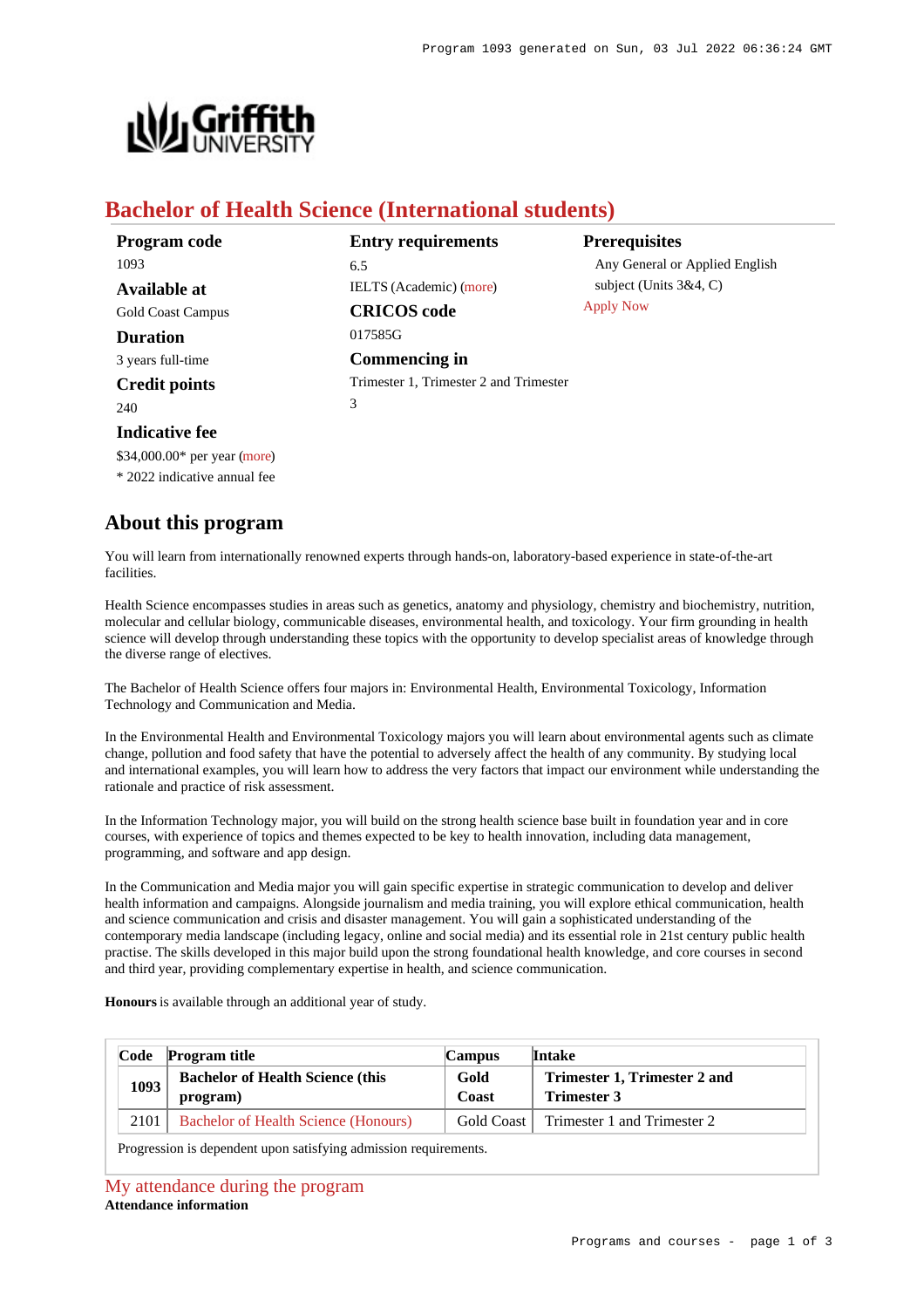

# **Bachelor of Health Science (International students)**

| Program code             | <b>Entry requirements</b>              | <b>Prerequisites</b>           |
|--------------------------|----------------------------------------|--------------------------------|
| 1093                     | 6.5                                    | Any General or Applied English |
| <b>Available at</b>      | <b>IELTS</b> (Academic) (more)         | subject (Units $3&4, C$ )      |
| <b>Gold Coast Campus</b> | <b>CRICOS</b> code                     | <b>Apply Now</b>               |
| <b>Duration</b>          | 017585G                                |                                |
| 3 years full-time        | Commencing in                          |                                |
| <b>Credit points</b>     | Trimester 1, Trimester 2 and Trimester |                                |
| 240                      | 3                                      |                                |
| <b>Indicative fee</b>    |                                        |                                |

**About this program**

\$34,000.00\* per year [\(more](https://www148.griffith.edu.au/programs-courses/Program/1093/Overview/International#fees)) \* 2022 indicative annual fee

You will learn from internationally renowned experts through hands-on, laboratory-based experience in state-of-the-art facilities.

Health Science encompasses studies in areas such as genetics, anatomy and physiology, chemistry and biochemistry, nutrition, molecular and cellular biology, communicable diseases, environmental health, and toxicology. Your firm grounding in health science will develop through understanding these topics with the opportunity to develop specialist areas of knowledge through the diverse range of electives.

The Bachelor of Health Science offers four majors in: Environmental Health, Environmental Toxicology, Information Technology and Communication and Media.

In the Environmental Health and Environmental Toxicology majors you will learn about environmental agents such as climate change, pollution and food safety that have the potential to adversely affect the health of any community. By studying local and international examples, you will learn how to address the very factors that impact our environment while understanding the rationale and practice of risk assessment.

In the Information Technology major, you will build on the strong health science base built in foundation year and in core courses, with experience of topics and themes expected to be key to health innovation, including data management, programming, and software and app design.

In the Communication and Media major you will gain specific expertise in strategic communication to develop and deliver health information and campaigns. Alongside journalism and media training, you will explore ethical communication, health and science communication and crisis and disaster management. You will gain a sophisticated understanding of the contemporary media landscape (including legacy, online and social media) and its essential role in 21st century public health practise. The skills developed in this major build upon the strong foundational health knowledge, and core courses in second and third year, providing complementary expertise in health, and science communication.

**Honours** is available through an additional year of study.

|      | Code Program title                                   | <b>Campus</b> | Intake                                             |
|------|------------------------------------------------------|---------------|----------------------------------------------------|
| 1093 | <b>Bachelor of Health Science (this)</b><br>program) | Gold<br>Coast | Trimester 1, Trimester 2 and<br><b>Trimester 3</b> |
| 2101 | Bachelor of Health Science (Honours)                 | Gold Coast 1  | Trimester 1 and Trimester 2                        |

Progression is dependent upon satisfying admission requirements.

### [My attendance during the program](https://www148.griffith.edu.au/programs-courses/Program/1093/Overview/International#attendance) **Attendance information**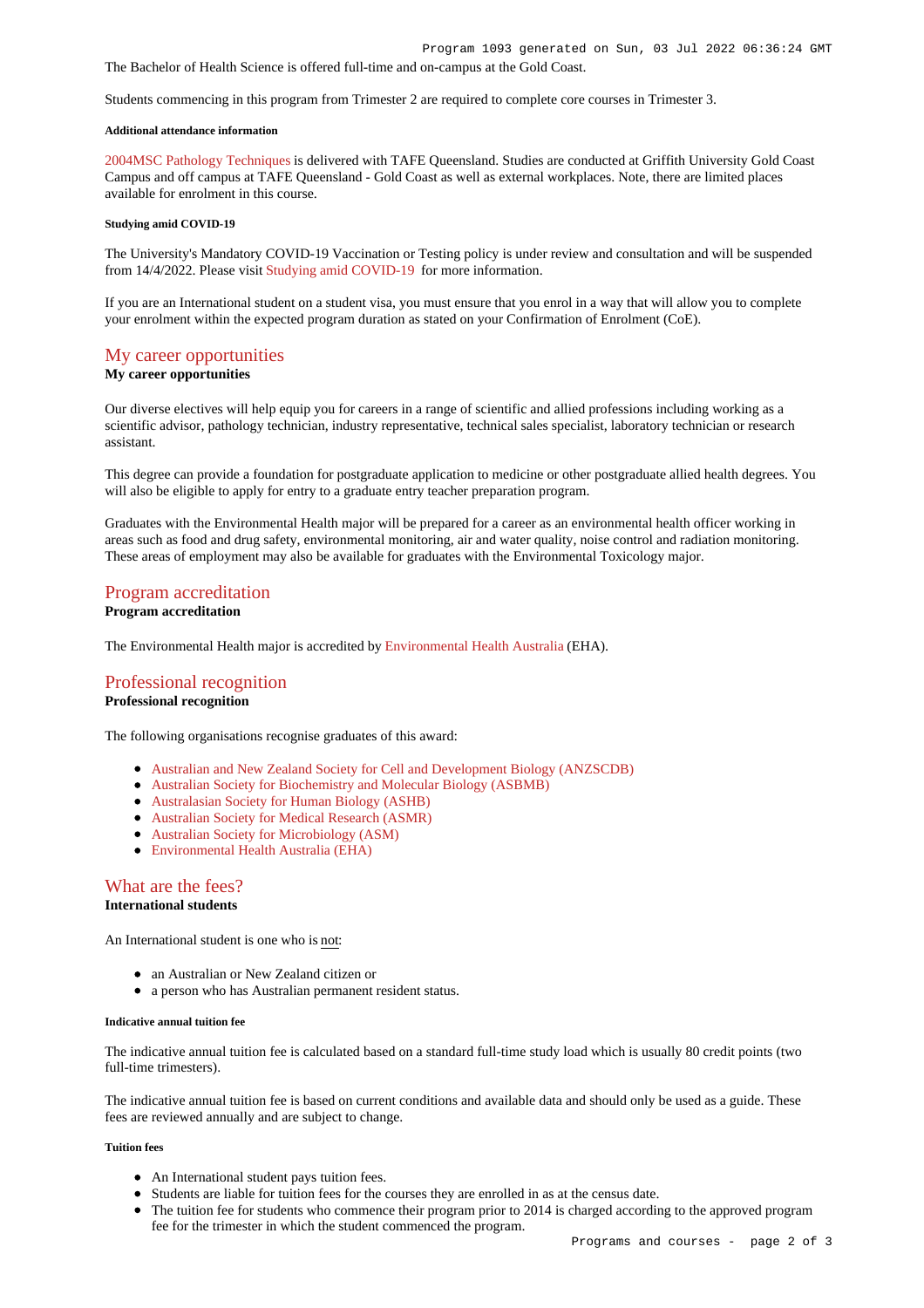The Bachelor of Health Science is offered full-time and on-campus at the Gold Coast.

Students commencing in this program from Trimester 2 are required to complete core courses in Trimester 3.

### **Additional attendance information**

[2004MSC Pathology Techniques](https://www148.griffith.edu.au/Course/2004MSC) is delivered with TAFE Queensland. Studies are conducted at Griffith University Gold Coast Campus and off campus at TAFE Queensland - Gold Coast as well as external workplaces. Note, there are limited places available for enrolment in this course.

#### **Studying amid COVID-19**

The University's Mandatory COVID-19 Vaccination or Testing policy is under review and consultation and will be suspended from 14/4/2022. Please visit [Studying amid COVID-19](https://www.griffith.edu.au/coronavirus/studying-amid-covid-19) for more information.

If you are an International student on a student visa, you must ensure that you enrol in a way that will allow you to complete your enrolment within the expected program duration as stated on your Confirmation of Enrolment (CoE).

# [My career opportunities](https://www148.griffith.edu.au/programs-courses/Program/1093/Overview/International#opportunities)

### **My career opportunities**

Our diverse electives will help equip you for careers in a range of scientific and allied professions including working as a scientific advisor, pathology technician, industry representative, technical sales specialist, laboratory technician or research assistant.

This degree can provide a foundation for postgraduate application to medicine or other postgraduate allied health degrees. You will also be eligible to apply for entry to a graduate entry teacher preparation program.

Graduates with the Environmental Health major will be prepared for a career as an environmental health officer working in areas such as food and drug safety, environmental monitoring, air and water quality, noise control and radiation monitoring. These areas of employment may also be available for graduates with the Environmental Toxicology major.

# [Program accreditation](https://www148.griffith.edu.au/programs-courses/Program/1093/Overview/International#accreditation)

# **Program accreditation**

The Environmental Health major is accredited by [Environmental Health Australia](https://www.eh.org.au/) (EHA).

# [Professional recognition](https://www148.griffith.edu.au/programs-courses/Program/1093/Overview/International#recognition)

### **Professional recognition**

The following organisations recognise graduates of this award:

- [Australian and New Zealand Society for Cell and Development Biology \(ANZSCDB\)](http://www.anzscdb.org/)
- [Australian Society for Biochemistry and Molecular Biology \(ASBMB\)](https://www.asbmb.org.au/)
- [Australasian Society for Human Biology \(ASHB\)](http://school.anhb.uwa.edu.au/ashb/)
- [Australian Society for Medical Research \(ASMR\)](http://www.asmr.org.au/)
- [Australian Society for Microbiology \(ASM\)](http://www.theasm.org.au/)
- [Environmental Health Australia \(EHA\)](https://www.eh.org.au/)

# [What are the fees?](https://www148.griffith.edu.au/programs-courses/Program/1093/Overview/International#fees)

## **International students**

An International student is one who is not:

- an Australian or New Zealand citizen or
- a person who has Australian permanent resident status.

### **Indicative annual tuition fee**

The indicative annual tuition fee is calculated based on a standard full-time study load which is usually 80 credit points (two full-time trimesters).

The indicative annual tuition fee is based on current conditions and available data and should only be used as a guide. These fees are reviewed annually and are subject to change.

## **Tuition fees**

- An International student pays tuition fees.
- Students are liable for tuition fees for the courses they are enrolled in as at the census date.
- The tuition fee for students who commence their program prior to 2014 is charged according to the approved program fee for the trimester in which the student commenced the program.